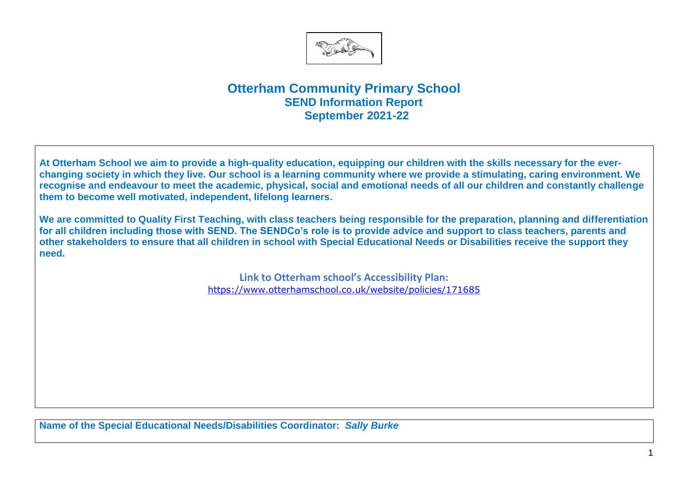

## **Otterham Community Primary School SEND Information Report September 2021-22**

**At Otterham School we aim to provide a high-quality education, equipping our children with the skills necessary for the everchanging society in which they live. Our school is a learning community where we provide a stimulating, caring environment. We recognise and endeavour to meet the academic, physical, social and emotional needs of all our children and constantly challenge them to become well motivated, independent, lifelong learners.**

**We are committed to Quality First Teaching, with class teachers being responsible for the preparation, planning and differentiation for all children including those with SEND. The SENDCo's role is to provide advice and support to class teachers, parents and other stakeholders to ensure that all children in school with Special Educational Needs or Disabilities receive the support they need.** 

> **Link to Otterham school's Accessibility Plan:** <https://www.otterhamschool.co.uk/website/policies/171685>

**Name of the Special Educational Needs/Disabilities Coordinator:** *Sally Burke*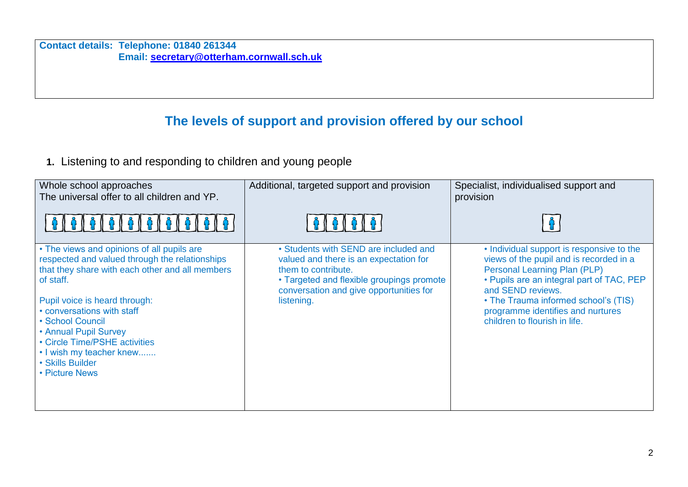**Contact details: Telephone: 01840 261344 Email: [secretary@otterham.cornwall.sch.uk](mailto:secretary@otterham.cornwall.sch.uk)**

## **The levels of support and provision offered by our school**

**1.** Listening to and responding to children and young people

| Whole school approaches<br>The universal offer to all children and YP.                                                                                                                                                                                                                                                                                                      | Additional, targeted support and provision                                                                                                                                                                   | Specialist, individualised support and<br>provision                                                                                                                                                                                                                                                         |
|-----------------------------------------------------------------------------------------------------------------------------------------------------------------------------------------------------------------------------------------------------------------------------------------------------------------------------------------------------------------------------|--------------------------------------------------------------------------------------------------------------------------------------------------------------------------------------------------------------|-------------------------------------------------------------------------------------------------------------------------------------------------------------------------------------------------------------------------------------------------------------------------------------------------------------|
|                                                                                                                                                                                                                                                                                                                                                                             |                                                                                                                                                                                                              |                                                                                                                                                                                                                                                                                                             |
| • The views and opinions of all pupils are<br>respected and valued through the relationships<br>that they share with each other and all members<br>of staff.<br>Pupil voice is heard through:<br>• conversations with staff<br>• School Council<br>• Annual Pupil Survey<br>• Circle Time/PSHE activities<br>. I wish my teacher knew<br>• Skills Builder<br>• Picture News | • Students with SEND are included and<br>valued and there is an expectation for<br>them to contribute.<br>• Targeted and flexible groupings promote<br>conversation and give opportunities for<br>listening. | • Individual support is responsive to the<br>views of the pupil and is recorded in a<br><b>Personal Learning Plan (PLP)</b><br>• Pupils are an integral part of TAC, PEP<br>and SEND reviews.<br>• The Trauma informed school's (TIS)<br>programme identifies and nurtures<br>children to flourish in life. |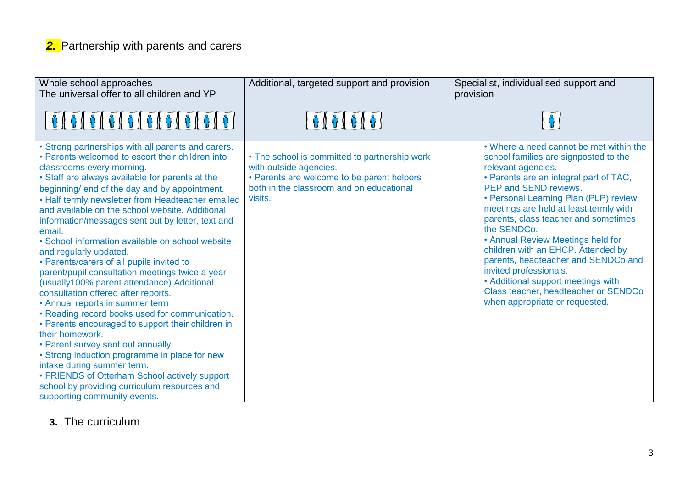## *2.* Partnership with parents and carers

| Whole school approaches<br>The universal offer to all children and YP                                                                                                                                                                                                                                                                                                                                                                                                                                                                                                                                                                                                                                                                                                                                                                                                                                                                                                                                                                                                                                | Additional, targeted support and provision                                                                                                                                   | Specialist, individualised support and<br>provision                                                                                                                                                                                                                                                                                                                                                                                                                                                                                                                             |
|------------------------------------------------------------------------------------------------------------------------------------------------------------------------------------------------------------------------------------------------------------------------------------------------------------------------------------------------------------------------------------------------------------------------------------------------------------------------------------------------------------------------------------------------------------------------------------------------------------------------------------------------------------------------------------------------------------------------------------------------------------------------------------------------------------------------------------------------------------------------------------------------------------------------------------------------------------------------------------------------------------------------------------------------------------------------------------------------------|------------------------------------------------------------------------------------------------------------------------------------------------------------------------------|---------------------------------------------------------------------------------------------------------------------------------------------------------------------------------------------------------------------------------------------------------------------------------------------------------------------------------------------------------------------------------------------------------------------------------------------------------------------------------------------------------------------------------------------------------------------------------|
| 6   6   6                                                                                                                                                                                                                                                                                                                                                                                                                                                                                                                                                                                                                                                                                                                                                                                                                                                                                                                                                                                                                                                                                            | $\frac{1}{2}$ $\left[ \begin{array}{c} \frac{1}{2} \\ \frac{1}{2} \end{array} \right]$                                                                                       |                                                                                                                                                                                                                                                                                                                                                                                                                                                                                                                                                                                 |
| • Strong partnerships with all parents and carers.<br>• Parents welcomed to escort their children into<br>classrooms every morning.<br>• Staff are always available for parents at the<br>beginning/ end of the day and by appointment.<br>• Half termly newsletter from Headteacher emailed<br>and available on the school website. Additional<br>information/messages sent out by letter, text and<br>email.<br>• School information available on school website<br>and regularly updated.<br>• Parents/carers of all pupils invited to<br>parent/pupil consultation meetings twice a year<br>(usually100% parent attendance) Additional<br>consultation offered after reports.<br>• Annual reports in summer term<br>• Reading record books used for communication.<br>• Parents encouraged to support their children in<br>their homework.<br>• Parent survey sent out annually.<br>• Strong induction programme in place for new<br>intake during summer term.<br>• FRIENDS of Otterham School actively support<br>school by providing curriculum resources and<br>supporting community events. | • The school is committed to partnership work<br>with outside agencies.<br>• Parents are welcome to be parent helpers<br>both in the classroom and on educational<br>visits. | • Where a need cannot be met within the<br>school families are signposted to the<br>relevant agencies.<br>• Parents are an integral part of TAC,<br>PEP and SEND reviews.<br>• Personal Learning Plan (PLP) review<br>meetings are held at least termly with<br>parents, class teacher and sometimes<br>the SENDCo.<br>• Annual Review Meetings held for<br>children with an EHCP. Attended by<br>parents, headteacher and SENDCo and<br>invited professionals.<br>• Additional support meetings with<br>Class teacher, headteacher or SENDCo<br>when appropriate or requested. |

**3.** The curriculum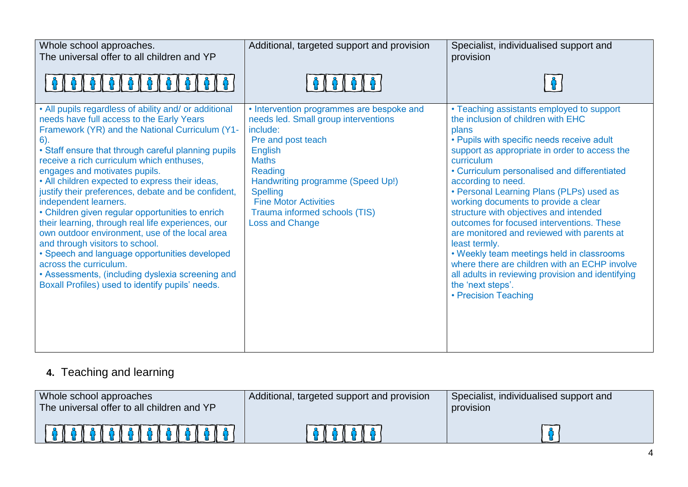| Whole school approaches.<br>The universal offer to all children and YP                                                                                                                                                                                                                                                                                                                                                                                                                                                                                                                                                                                                                                                                                                                                                    | Additional, targeted support and provision                                                                                                                                                                                                                                                                          | Specialist, individualised support and<br>provision                                                                                                                                                                                                                                                                                                                                                                                                                                                                                                                                                                                                                                                                   |
|---------------------------------------------------------------------------------------------------------------------------------------------------------------------------------------------------------------------------------------------------------------------------------------------------------------------------------------------------------------------------------------------------------------------------------------------------------------------------------------------------------------------------------------------------------------------------------------------------------------------------------------------------------------------------------------------------------------------------------------------------------------------------------------------------------------------------|---------------------------------------------------------------------------------------------------------------------------------------------------------------------------------------------------------------------------------------------------------------------------------------------------------------------|-----------------------------------------------------------------------------------------------------------------------------------------------------------------------------------------------------------------------------------------------------------------------------------------------------------------------------------------------------------------------------------------------------------------------------------------------------------------------------------------------------------------------------------------------------------------------------------------------------------------------------------------------------------------------------------------------------------------------|
|                                                                                                                                                                                                                                                                                                                                                                                                                                                                                                                                                                                                                                                                                                                                                                                                                           |                                                                                                                                                                                                                                                                                                                     |                                                                                                                                                                                                                                                                                                                                                                                                                                                                                                                                                                                                                                                                                                                       |
| • All pupils regardless of ability and/ or additional<br>needs have full access to the Early Years<br>Framework (YR) and the National Curriculum (Y1-<br>$6$ ).<br>• Staff ensure that through careful planning pupils<br>receive a rich curriculum which enthuses,<br>engages and motivates pupils.<br>• All children expected to express their ideas,<br>justify their preferences, debate and be confident,<br>independent learners.<br>• Children given regular opportunities to enrich<br>their learning, through real life experiences, our<br>own outdoor environment, use of the local area<br>and through visitors to school.<br>· Speech and language opportunities developed<br>across the curriculum.<br>• Assessments, (including dyslexia screening and<br>Boxall Profiles) used to identify pupils' needs. | • Intervention programmes are bespoke and<br>needs led. Small group interventions<br>include:<br>Pre and post teach<br><b>English</b><br><b>Maths</b><br>Reading<br>Handwriting programme (Speed Up!)<br><b>Spelling</b><br><b>Fine Motor Activities</b><br>Trauma informed schools (TIS)<br><b>Loss and Change</b> | • Teaching assistants employed to support<br>the inclusion of children with EHC<br>plans<br>• Pupils with specific needs receive adult<br>support as appropriate in order to access the<br>curriculum<br>• Curriculum personalised and differentiated<br>according to need.<br>• Personal Learning Plans (PLPs) used as<br>working documents to provide a clear<br>structure with objectives and intended<br>outcomes for focused interventions. These<br>are monitored and reviewed with parents at<br>least termly.<br>• Weekly team meetings held in classrooms<br>where there are children with an ECHP involve<br>all adults in reviewing provision and identifying<br>the 'next steps'.<br>• Precision Teaching |

## **4.** Teaching and learning

| Whole school approaches<br>The universal offer to all children and YP | Additional, targeted support and provision | Specialist, individualised support and<br>provision |
|-----------------------------------------------------------------------|--------------------------------------------|-----------------------------------------------------|
|                                                                       | <u> A I A I A I A</u>                      |                                                     |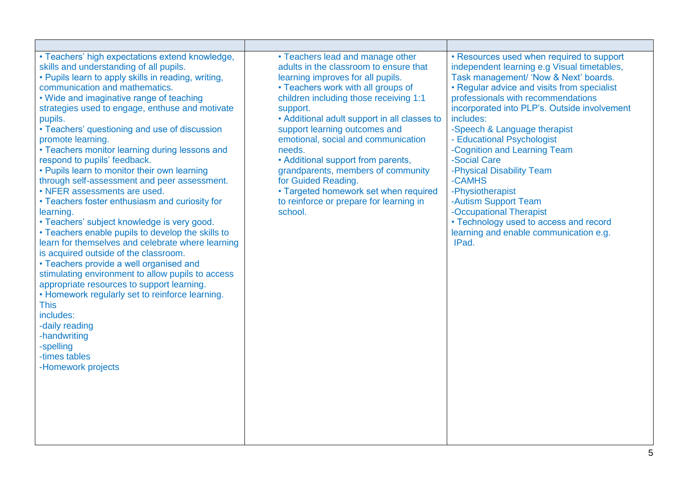| • Teachers' high expectations extend knowledge,<br>skills and understanding of all pupils.<br>• Pupils learn to apply skills in reading, writing,<br>communication and mathematics.<br>• Wide and imaginative range of teaching<br>strategies used to engage, enthuse and motivate<br>pupils.<br>• Teachers' questioning and use of discussion<br>promote learning.<br>• Teachers monitor learning during lessons and<br>respond to pupils' feedback.<br>• Pupils learn to monitor their own learning<br>through self-assessment and peer assessment.<br>• NFER assessments are used.<br>• Teachers foster enthusiasm and curiosity for<br>learning.<br>• Teachers' subject knowledge is very good.<br>• Teachers enable pupils to develop the skills to<br>learn for themselves and celebrate where learning<br>is acquired outside of the classroom.<br>• Teachers provide a well organised and<br>stimulating environment to allow pupils to access<br>appropriate resources to support learning.<br>• Homework regularly set to reinforce learning.<br><b>This</b><br>includes:<br>-daily reading<br>-handwriting<br>-spelling<br>-times tables<br>-Homework projects | • Teachers lead and manage other<br>adults in the classroom to ensure that<br>learning improves for all pupils.<br>• Teachers work with all groups of<br>children including those receiving 1:1<br>support.<br>• Additional adult support in all classes to<br>support learning outcomes and<br>emotional, social and communication<br>needs.<br>• Additional support from parents,<br>grandparents, members of community<br>for Guided Reading.<br>• Targeted homework set when required<br>to reinforce or prepare for learning in<br>school. | • Resources used when required to support<br>independent learning e.g Visual timetables,<br>Task management/ 'Now & Next' boards.<br>• Regular advice and visits from specialist<br>professionals with recommendations<br>incorporated into PLP's. Outside involvement<br>includes:<br>-Speech & Language therapist<br>- Educational Psychologist<br>-Cognition and Learning Team<br>-Social Care<br>-Physical Disability Team<br>-CAMHS<br>-Physiotherapist<br>-Autism Support Team<br>-Occupational Therapist<br>• Technology used to access and record<br>learning and enable communication e.g.<br>IPad. |
|---------------------------------------------------------------------------------------------------------------------------------------------------------------------------------------------------------------------------------------------------------------------------------------------------------------------------------------------------------------------------------------------------------------------------------------------------------------------------------------------------------------------------------------------------------------------------------------------------------------------------------------------------------------------------------------------------------------------------------------------------------------------------------------------------------------------------------------------------------------------------------------------------------------------------------------------------------------------------------------------------------------------------------------------------------------------------------------------------------------------------------------------------------------------------|-------------------------------------------------------------------------------------------------------------------------------------------------------------------------------------------------------------------------------------------------------------------------------------------------------------------------------------------------------------------------------------------------------------------------------------------------------------------------------------------------------------------------------------------------|--------------------------------------------------------------------------------------------------------------------------------------------------------------------------------------------------------------------------------------------------------------------------------------------------------------------------------------------------------------------------------------------------------------------------------------------------------------------------------------------------------------------------------------------------------------------------------------------------------------|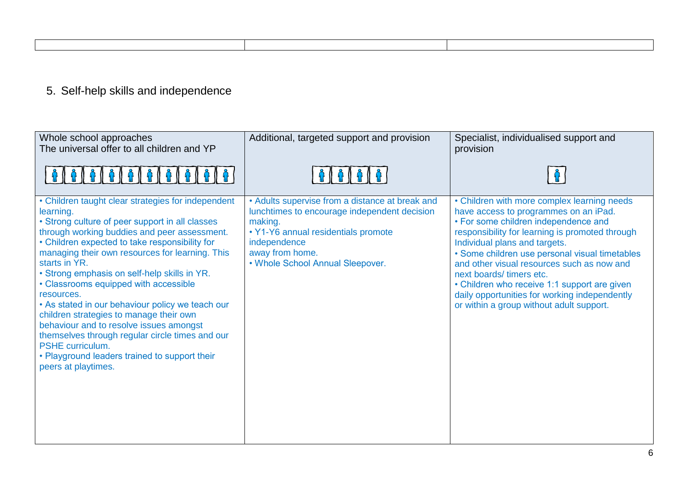## 5. Self-help skills and independence

| Whole school approaches<br>The universal offer to all children and YP                                                                                                                                                                                                                                                                                                                                                                                                                                                                                                                                                                                                                    | Additional, targeted support and provision                                                                                                                                                                               | Specialist, individualised support and<br>provision                                                                                                                                                                                                                                                                                                                                                                                                                                      |
|------------------------------------------------------------------------------------------------------------------------------------------------------------------------------------------------------------------------------------------------------------------------------------------------------------------------------------------------------------------------------------------------------------------------------------------------------------------------------------------------------------------------------------------------------------------------------------------------------------------------------------------------------------------------------------------|--------------------------------------------------------------------------------------------------------------------------------------------------------------------------------------------------------------------------|------------------------------------------------------------------------------------------------------------------------------------------------------------------------------------------------------------------------------------------------------------------------------------------------------------------------------------------------------------------------------------------------------------------------------------------------------------------------------------------|
|                                                                                                                                                                                                                                                                                                                                                                                                                                                                                                                                                                                                                                                                                          |                                                                                                                                                                                                                          |                                                                                                                                                                                                                                                                                                                                                                                                                                                                                          |
| • Children taught clear strategies for independent<br>learning.<br>• Strong culture of peer support in all classes<br>through working buddies and peer assessment.<br>• Children expected to take responsibility for<br>managing their own resources for learning. This<br>starts in YR.<br>• Strong emphasis on self-help skills in YR.<br>• Classrooms equipped with accessible<br>resources.<br>• As stated in our behaviour policy we teach our<br>children strategies to manage their own<br>behaviour and to resolve issues amongst<br>themselves through regular circle times and our<br>PSHE curriculum.<br>• Playground leaders trained to support their<br>peers at playtimes. | • Adults supervise from a distance at break and<br>lunchtimes to encourage independent decision<br>making.<br>• Y1-Y6 annual residentials promote<br>independence<br>away from home.<br>. Whole School Annual Sleepover. | • Children with more complex learning needs<br>have access to programmes on an iPad.<br>• For some children independence and<br>responsibility for learning is promoted through<br>Individual plans and targets.<br>• Some children use personal visual timetables<br>and other visual resources such as now and<br>next boards/timers etc.<br>• Children who receive 1:1 support are given<br>daily opportunities for working independently<br>or within a group without adult support. |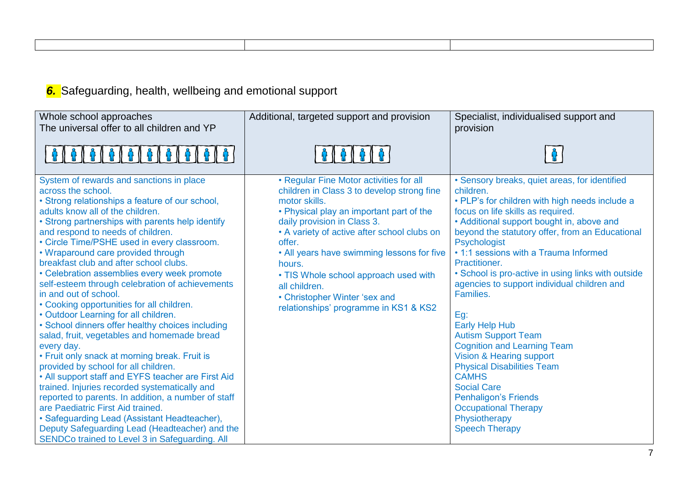*6.* Safeguarding, health, wellbeing and emotional support

| Whole school approaches<br>The universal offer to all children and YP                                                                                                                                                                                                                                                                                                                                                                                                                                                                                                                                                                                                                                                                                                                                                                                                                                                                                                                                                                                                                                                                                          | Additional, targeted support and provision                                                                                                                                                                                                                                                                                                                                                                                             | Specialist, individualised support and<br>provision                                                                                                                                                                                                                                                                                                                                                                                                                                                                                                                                                                                                                                                                                                                 |
|----------------------------------------------------------------------------------------------------------------------------------------------------------------------------------------------------------------------------------------------------------------------------------------------------------------------------------------------------------------------------------------------------------------------------------------------------------------------------------------------------------------------------------------------------------------------------------------------------------------------------------------------------------------------------------------------------------------------------------------------------------------------------------------------------------------------------------------------------------------------------------------------------------------------------------------------------------------------------------------------------------------------------------------------------------------------------------------------------------------------------------------------------------------|----------------------------------------------------------------------------------------------------------------------------------------------------------------------------------------------------------------------------------------------------------------------------------------------------------------------------------------------------------------------------------------------------------------------------------------|---------------------------------------------------------------------------------------------------------------------------------------------------------------------------------------------------------------------------------------------------------------------------------------------------------------------------------------------------------------------------------------------------------------------------------------------------------------------------------------------------------------------------------------------------------------------------------------------------------------------------------------------------------------------------------------------------------------------------------------------------------------------|
| 161616161                                                                                                                                                                                                                                                                                                                                                                                                                                                                                                                                                                                                                                                                                                                                                                                                                                                                                                                                                                                                                                                                                                                                                      |                                                                                                                                                                                                                                                                                                                                                                                                                                        |                                                                                                                                                                                                                                                                                                                                                                                                                                                                                                                                                                                                                                                                                                                                                                     |
| System of rewards and sanctions in place<br>across the school.<br>• Strong relationships a feature of our school,<br>adults know all of the children.<br>• Strong partnerships with parents help identify<br>and respond to needs of children.<br>• Circle Time/PSHE used in every classroom.<br>• Wraparound care provided through<br>breakfast club and after school clubs.<br>• Celebration assemblies every week promote<br>self-esteem through celebration of achievements<br>in and out of school.<br>• Cooking opportunities for all children.<br>• Outdoor Learning for all children.<br>• School dinners offer healthy choices including<br>salad, fruit, vegetables and homemade bread<br>every day.<br>• Fruit only snack at morning break. Fruit is<br>provided by school for all children.<br>• All support staff and EYFS teacher are First Aid<br>trained. Injuries recorded systematically and<br>reported to parents. In addition, a number of staff<br>are Paediatric First Aid trained.<br>• Safeguarding Lead (Assistant Headteacher),<br>Deputy Safeguarding Lead (Headteacher) and the<br>SENDCo trained to Level 3 in Safeguarding. All | • Regular Fine Motor activities for all<br>children in Class 3 to develop strong fine<br>motor skills.<br>• Physical play an important part of the<br>daily provision in Class 3.<br>• A variety of active after school clubs on<br>offer.<br>• All years have swimming lessons for five<br>hours.<br>• TIS Whole school approach used with<br>all children.<br>• Christopher Winter 'sex and<br>relationships' programme in KS1 & KS2 | · Sensory breaks, quiet areas, for identified<br>children.<br>• PLP's for children with high needs include a<br>focus on life skills as required.<br>• Additional support bought in, above and<br>beyond the statutory offer, from an Educational<br>Psychologist<br>• 1:1 sessions with a Trauma Informed<br>Practitioner.<br>• School is pro-active in using links with outside<br>agencies to support individual children and<br>Families.<br>$Eg$ :<br><b>Early Help Hub</b><br><b>Autism Support Team</b><br><b>Cognition and Learning Team</b><br>Vision & Hearing support<br><b>Physical Disabilities Team</b><br><b>CAMHS</b><br><b>Social Care</b><br><b>Penhaligon's Friends</b><br><b>Occupational Therapy</b><br>Physiotherapy<br><b>Speech Therapy</b> |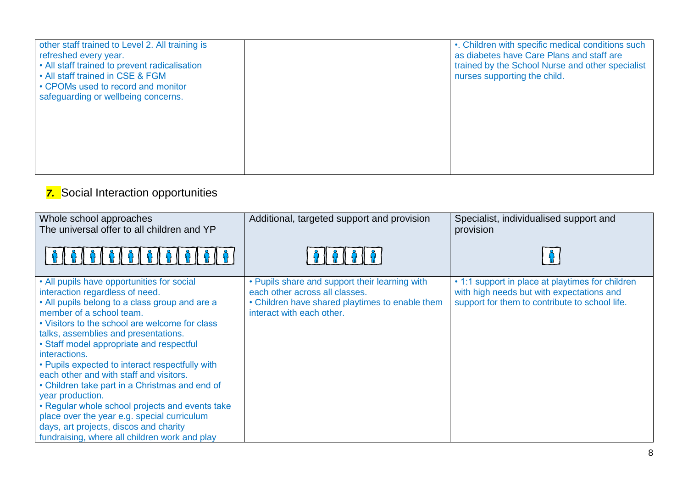| other staff trained to Level 2. All training is<br>refreshed every year.<br>• All staff trained to prevent radicalisation<br>• All staff trained in CSE & FGM<br>• CPOMs used to record and monitor<br>safeguarding or wellbeing concerns. | •. Children with specific medical conditions such<br>as diabetes have Care Plans and staff are<br>trained by the School Nurse and other specialist<br>nurses supporting the child. |
|--------------------------------------------------------------------------------------------------------------------------------------------------------------------------------------------------------------------------------------------|------------------------------------------------------------------------------------------------------------------------------------------------------------------------------------|
|                                                                                                                                                                                                                                            |                                                                                                                                                                                    |

## **7.** Social Interaction opportunities

| Whole school approaches<br>The universal offer to all children and YP<br>6   6   6                                                                                                                                                                                                                                                                                                                                                                                                                                                                                                                                                                                                  | Additional, targeted support and provision                                                                                                                       | Specialist, individualised support and<br>provision                                                                                             |
|-------------------------------------------------------------------------------------------------------------------------------------------------------------------------------------------------------------------------------------------------------------------------------------------------------------------------------------------------------------------------------------------------------------------------------------------------------------------------------------------------------------------------------------------------------------------------------------------------------------------------------------------------------------------------------------|------------------------------------------------------------------------------------------------------------------------------------------------------------------|-------------------------------------------------------------------------------------------------------------------------------------------------|
| • All pupils have opportunities for social<br>interaction regardless of need.<br>• All pupils belong to a class group and are a<br>member of a school team.<br>• Visitors to the school are welcome for class<br>talks, assemblies and presentations.<br>• Staff model appropriate and respectful<br>interactions.<br>• Pupils expected to interact respectfully with<br>each other and with staff and visitors.<br>• Children take part in a Christmas and end of<br>year production.<br>• Regular whole school projects and events take<br>place over the year e.g. special curriculum<br>days, art projects, discos and charity<br>fundraising, where all children work and play | • Pupils share and support their learning with<br>each other across all classes.<br>• Children have shared playtimes to enable them<br>interact with each other. | • 1:1 support in place at playtimes for children<br>with high needs but with expectations and<br>support for them to contribute to school life. |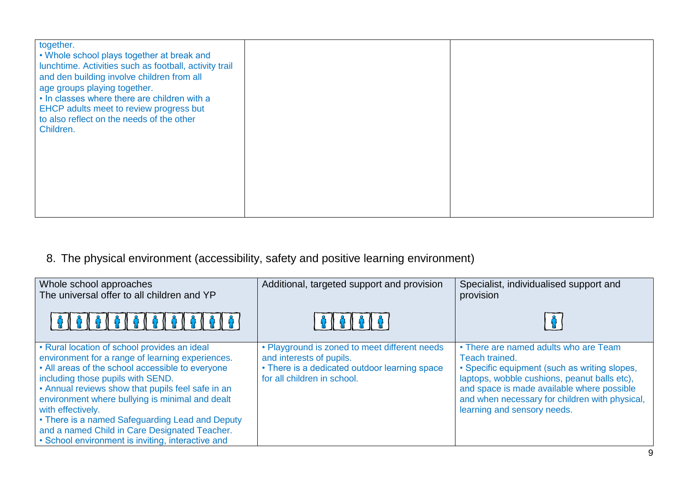| together.<br>• Whole school plays together at break and<br>lunchtime. Activities such as football, activity trail<br>and den building involve children from all<br>age groups playing together.<br>• In classes where there are children with a<br>EHCP adults meet to review progress but<br>to also reflect on the needs of the other<br>Children. |  |
|------------------------------------------------------------------------------------------------------------------------------------------------------------------------------------------------------------------------------------------------------------------------------------------------------------------------------------------------------|--|
|                                                                                                                                                                                                                                                                                                                                                      |  |

## 8. The physical environment (accessibility, safety and positive learning environment)

| Whole school approaches<br>The universal offer to all children and YP                                                                                                                                                                                                                                                                                                                                                                                                           | Additional, targeted support and provision                                                                                                                | Specialist, individualised support and<br>provision                                                                                                                                                                                                                                     |
|---------------------------------------------------------------------------------------------------------------------------------------------------------------------------------------------------------------------------------------------------------------------------------------------------------------------------------------------------------------------------------------------------------------------------------------------------------------------------------|-----------------------------------------------------------------------------------------------------------------------------------------------------------|-----------------------------------------------------------------------------------------------------------------------------------------------------------------------------------------------------------------------------------------------------------------------------------------|
|                                                                                                                                                                                                                                                                                                                                                                                                                                                                                 | <b>A   A   A   A</b>                                                                                                                                      |                                                                                                                                                                                                                                                                                         |
| • Rural location of school provides an ideal<br>environment for a range of learning experiences.<br>• All areas of the school accessible to everyone<br>including those pupils with SEND.<br>• Annual reviews show that pupils feel safe in an<br>environment where bullying is minimal and dealt<br>with effectively.<br>• There is a named Safeguarding Lead and Deputy<br>and a named Child in Care Designated Teacher.<br>• School environment is inviting, interactive and | • Playground is zoned to meet different needs<br>and interests of pupils.<br>• There is a dedicated outdoor learning space<br>for all children in school. | • There are named adults who are Team<br>Teach trained.<br>• Specific equipment (such as writing slopes,<br>laptops, wobble cushions, peanut balls etc),<br>and space is made available where possible<br>and when necessary for children with physical,<br>learning and sensory needs. |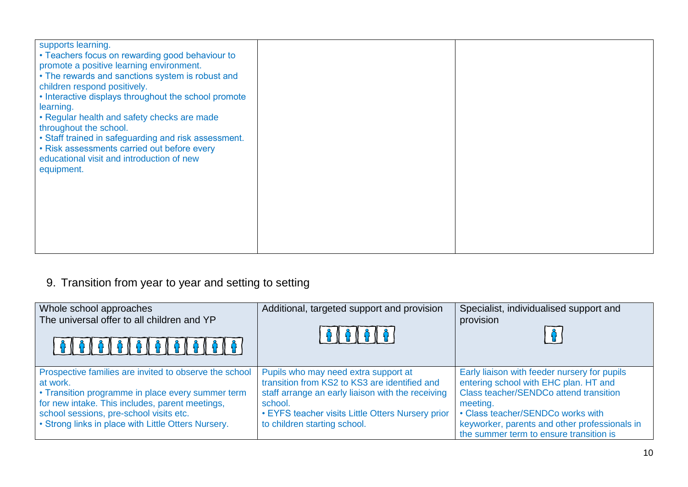| supports learning.<br>• Teachers focus on rewarding good behaviour to<br>promote a positive learning environment.<br>• The rewards and sanctions system is robust and<br>children respond positively.<br>• Interactive displays throughout the school promote<br>learning.<br>• Regular health and safety checks are made<br>throughout the school.<br>• Staff trained in safeguarding and risk assessment.<br>• Risk assessments carried out before every<br>educational visit and introduction of new<br>equipment. |  |  |
|-----------------------------------------------------------------------------------------------------------------------------------------------------------------------------------------------------------------------------------------------------------------------------------------------------------------------------------------------------------------------------------------------------------------------------------------------------------------------------------------------------------------------|--|--|
|-----------------------------------------------------------------------------------------------------------------------------------------------------------------------------------------------------------------------------------------------------------------------------------------------------------------------------------------------------------------------------------------------------------------------------------------------------------------------------------------------------------------------|--|--|

# 9. Transition from year to year and setting to setting

| Whole school approaches<br>The universal offer to all children and YP                                                                                                                                                                                                        | Additional, targeted support and provision<br><b>A I A I A I A</b> I                                                                                                                                                                       | Specialist, individualised support and<br>provision                                                                                                                                                                                                                          |
|------------------------------------------------------------------------------------------------------------------------------------------------------------------------------------------------------------------------------------------------------------------------------|--------------------------------------------------------------------------------------------------------------------------------------------------------------------------------------------------------------------------------------------|------------------------------------------------------------------------------------------------------------------------------------------------------------------------------------------------------------------------------------------------------------------------------|
| Prospective families are invited to observe the school<br>at work.<br>• Transition programme in place every summer term<br>for new intake. This includes, parent meetings,<br>school sessions, pre-school visits etc.<br>• Strong links in place with Little Otters Nursery. | Pupils who may need extra support at<br>transition from KS2 to KS3 are identified and<br>staff arrange an early liaison with the receiving<br>school.<br>• EYFS teacher visits Little Otters Nursery prior<br>to children starting school. | Early liaison with feeder nursery for pupils<br>entering school with EHC plan. HT and<br>Class teacher/SENDCo attend transition<br>meeting.<br>• Class teacher/SENDCo works with<br>keyworker, parents and other professionals in<br>the summer term to ensure transition is |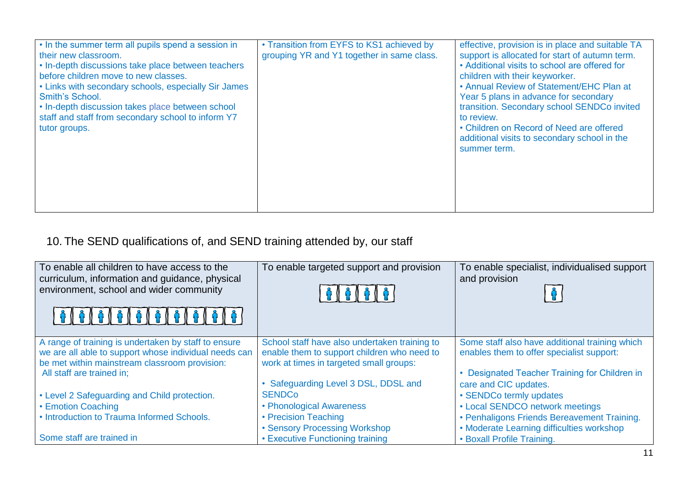| • In the summer term all pupils spend a session in<br>their new classroom.<br>• In-depth discussions take place between teachers<br>before children move to new classes.<br>• Links with secondary schools, especially Sir James<br>Smith's School.<br>• In-depth discussion takes place between school<br>staff and staff from secondary school to inform Y7<br>tutor groups. | • Transition from EYFS to KS1 achieved by<br>grouping YR and Y1 together in same class. | effective, provision is in place and suitable TA<br>support is allocated for start of autumn term.<br>• Additional visits to school are offered for<br>children with their keyworker.<br>• Annual Review of Statement/EHC Plan at<br>Year 5 plans in advance for secondary<br>transition. Secondary school SENDCo invited<br>to review.<br>• Children on Record of Need are offered<br>additional visits to secondary school in the<br>summer term. |
|--------------------------------------------------------------------------------------------------------------------------------------------------------------------------------------------------------------------------------------------------------------------------------------------------------------------------------------------------------------------------------|-----------------------------------------------------------------------------------------|-----------------------------------------------------------------------------------------------------------------------------------------------------------------------------------------------------------------------------------------------------------------------------------------------------------------------------------------------------------------------------------------------------------------------------------------------------|
|--------------------------------------------------------------------------------------------------------------------------------------------------------------------------------------------------------------------------------------------------------------------------------------------------------------------------------------------------------------------------------|-----------------------------------------------------------------------------------------|-----------------------------------------------------------------------------------------------------------------------------------------------------------------------------------------------------------------------------------------------------------------------------------------------------------------------------------------------------------------------------------------------------------------------------------------------------|

## 10. The SEND qualifications of, and SEND training attended by, our staff

| To enable all children to have access to the<br>curriculum, information and guidance, physical<br>environment, school and wider community                                                   | To enable targeted support and provision                                                                                                                                        | To enable specialist, individualised support<br>and provision                                                                                                       |
|---------------------------------------------------------------------------------------------------------------------------------------------------------------------------------------------|---------------------------------------------------------------------------------------------------------------------------------------------------------------------------------|---------------------------------------------------------------------------------------------------------------------------------------------------------------------|
| A range of training is undertaken by staff to ensure<br>we are all able to support whose individual needs can<br>be met within mainstream classroom provision:<br>All staff are trained in; | School staff have also undertaken training to<br>enable them to support children who need to<br>work at times in targeted small groups:<br>• Safeguarding Level 3 DSL, DDSL and | Some staff also have additional training which<br>enables them to offer specialist support:<br>Designated Teacher Training for Children in<br>care and CIC updates. |
| • Level 2 Safeguarding and Child protection.                                                                                                                                                | <b>SENDCo</b>                                                                                                                                                                   | • SENDCo termly updates                                                                                                                                             |
| • Emotion Coaching                                                                                                                                                                          | • Phonological Awareness                                                                                                                                                        | • Local SENDCO network meetings                                                                                                                                     |
| • Introduction to Trauma Informed Schools.                                                                                                                                                  | • Precision Teaching                                                                                                                                                            | • Penhaligons Friends Bereavement Training.                                                                                                                         |
|                                                                                                                                                                                             | • Sensory Processing Workshop                                                                                                                                                   | • Moderate Learning difficulties workshop                                                                                                                           |
| Some staff are trained in                                                                                                                                                                   | • Executive Functioning training                                                                                                                                                | • Boxall Profile Training.                                                                                                                                          |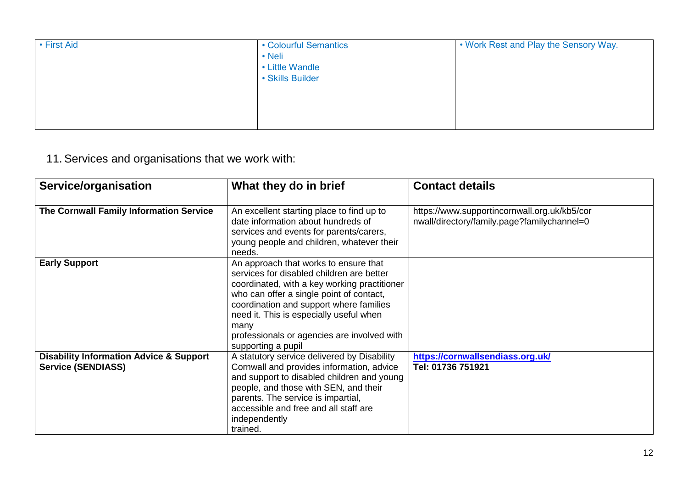| • First Aid | • Colourful Semantics<br>• Neli<br>• Little Wandle<br>· Skills Builder | . Work Rest and Play the Sensory Way. |
|-------------|------------------------------------------------------------------------|---------------------------------------|
|             |                                                                        |                                       |

11.Services and organisations that we work with:

| Service/organisation                                                            | What they do in brief                                                                                                                                                                                                                                                                                                                             | <b>Contact details</b>                                                                      |
|---------------------------------------------------------------------------------|---------------------------------------------------------------------------------------------------------------------------------------------------------------------------------------------------------------------------------------------------------------------------------------------------------------------------------------------------|---------------------------------------------------------------------------------------------|
| The Cornwall Family Information Service                                         | An excellent starting place to find up to<br>date information about hundreds of<br>services and events for parents/carers,<br>young people and children, whatever their<br>needs.                                                                                                                                                                 | https://www.supportincornwall.org.uk/kb5/cor<br>nwall/directory/family.page?familychannel=0 |
| <b>Early Support</b>                                                            | An approach that works to ensure that<br>services for disabled children are better<br>coordinated, with a key working practitioner<br>who can offer a single point of contact,<br>coordination and support where families<br>need it. This is especially useful when<br>many<br>professionals or agencies are involved with<br>supporting a pupil |                                                                                             |
| <b>Disability Information Advice &amp; Support</b><br><b>Service (SENDIASS)</b> | A statutory service delivered by Disability<br>Cornwall and provides information, advice<br>and support to disabled children and young<br>people, and those with SEN, and their<br>parents. The service is impartial,<br>accessible and free and all staff are<br>independently<br>trained.                                                       | https://cornwallsendiass.org.uk/<br>Tel: 01736 751921                                       |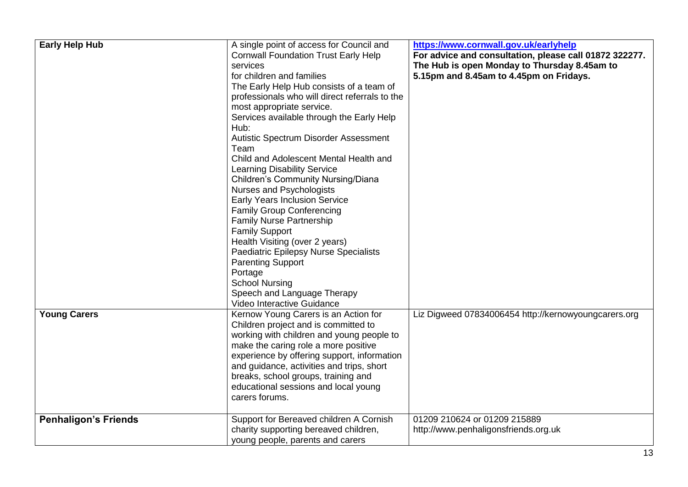| <b>Early Help Hub</b><br><b>Young Carers</b> | A single point of access for Council and<br><b>Cornwall Foundation Trust Early Help</b><br>services<br>for children and families<br>The Early Help Hub consists of a team of<br>professionals who will direct referrals to the<br>most appropriate service.<br>Services available through the Early Help<br>Hub:<br>Autistic Spectrum Disorder Assessment<br>Team<br>Child and Adolescent Mental Health and<br><b>Learning Disability Service</b><br><b>Children's Community Nursing/Diana</b><br>Nurses and Psychologists<br><b>Early Years Inclusion Service</b><br><b>Family Group Conferencing</b><br><b>Family Nurse Partnership</b><br><b>Family Support</b><br>Health Visiting (over 2 years)<br>Paediatric Epilepsy Nurse Specialists<br><b>Parenting Support</b><br>Portage<br><b>School Nursing</b><br>Speech and Language Therapy<br>Video Interactive Guidance<br>Kernow Young Carers is an Action for<br>Children project and is committed to<br>working with children and young people to<br>make the caring role a more positive | https://www.cornwall.gov.uk/earlyhelp<br>For advice and consultation, please call 01872 322277.<br>The Hub is open Monday to Thursday 8.45am to<br>5.15pm and 8.45am to 4.45pm on Fridays.<br>Liz Digweed 07834006454 http://kernowyoungcarers.org |
|----------------------------------------------|-------------------------------------------------------------------------------------------------------------------------------------------------------------------------------------------------------------------------------------------------------------------------------------------------------------------------------------------------------------------------------------------------------------------------------------------------------------------------------------------------------------------------------------------------------------------------------------------------------------------------------------------------------------------------------------------------------------------------------------------------------------------------------------------------------------------------------------------------------------------------------------------------------------------------------------------------------------------------------------------------------------------------------------------------|----------------------------------------------------------------------------------------------------------------------------------------------------------------------------------------------------------------------------------------------------|
|                                              | experience by offering support, information<br>and guidance, activities and trips, short<br>breaks, school groups, training and<br>educational sessions and local young<br>carers forums.                                                                                                                                                                                                                                                                                                                                                                                                                                                                                                                                                                                                                                                                                                                                                                                                                                                       |                                                                                                                                                                                                                                                    |
| <b>Penhaligon's Friends</b>                  | Support for Bereaved children A Cornish<br>charity supporting bereaved children,<br>young people, parents and carers                                                                                                                                                                                                                                                                                                                                                                                                                                                                                                                                                                                                                                                                                                                                                                                                                                                                                                                            | 01209 210624 or 01209 215889<br>http://www.penhaligonsfriends.org.uk                                                                                                                                                                               |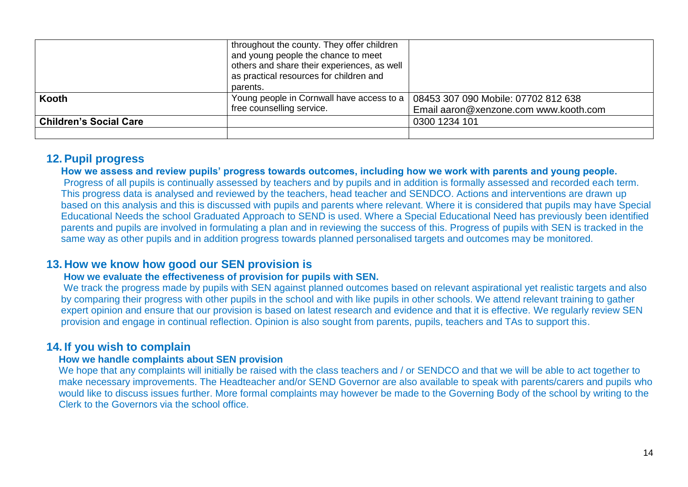|                               | throughout the county. They offer children<br>and young people the chance to meet<br>others and share their experiences, as well<br>as practical resources for children and<br>parents. |                                                                              |
|-------------------------------|-----------------------------------------------------------------------------------------------------------------------------------------------------------------------------------------|------------------------------------------------------------------------------|
| <b>Kooth</b>                  | Young people in Cornwall have access to a  <br>free counselling service.                                                                                                                | 08453 307 090 Mobile: 07702 812 638<br>Email aaron@xenzone.com www.kooth.com |
| <b>Children's Social Care</b> |                                                                                                                                                                                         | 0300 1234 101                                                                |
|                               |                                                                                                                                                                                         |                                                                              |

### **12.Pupil progress**

**How we assess and review pupils' progress towards outcomes, including how we work with parents and young people.**

Progress of all pupils is continually assessed by teachers and by pupils and in addition is formally assessed and recorded each term. This progress data is analysed and reviewed by the teachers, head teacher and SENDCO. Actions and interventions are drawn up based on this analysis and this is discussed with pupils and parents where relevant. Where it is considered that pupils may have Special Educational Needs the school Graduated Approach to SEND is used. Where a Special Educational Need has previously been identified parents and pupils are involved in formulating a plan and in reviewing the success of this. Progress of pupils with SEN is tracked in the same way as other pupils and in addition progress towards planned personalised targets and outcomes may be monitored.

### **13. How we know how good our SEN provision is**

### **How we evaluate the effectiveness of provision for pupils with SEN.**

We track the progress made by pupils with SEN against planned outcomes based on relevant aspirational yet realistic targets and also by comparing their progress with other pupils in the school and with like pupils in other schools. We attend relevant training to gather expert opinion and ensure that our provision is based on latest research and evidence and that it is effective. We regularly review SEN provision and engage in continual reflection. Opinion is also sought from parents, pupils, teachers and TAs to support this.

### **14. If you wish to complain**

### **How we handle complaints about SEN provision**

We hope that any complaints will initially be raised with the class teachers and / or SENDCO and that we will be able to act together to make necessary improvements. The Headteacher and/or SEND Governor are also available to speak with parents/carers and pupils who would like to discuss issues further. More formal complaints may however be made to the Governing Body of the school by writing to the Clerk to the Governors via the school office.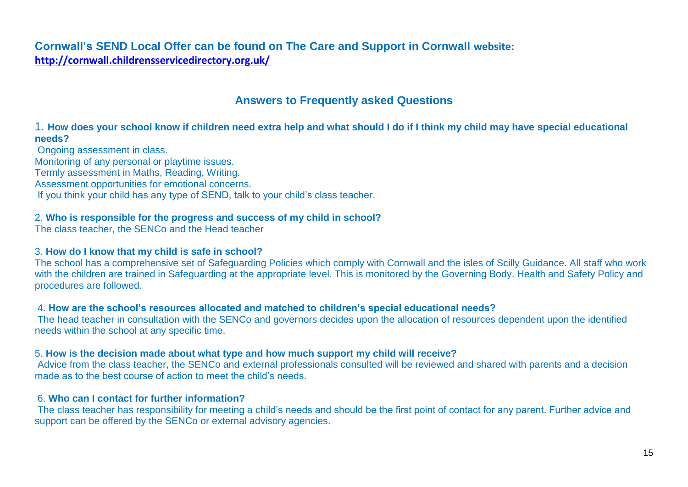**Cornwall's SEND Local Offer can be found on The Care and Support in Cornwall website: <http://cornwall.childrensservicedirectory.org.uk/>**

## **Answers to Frequently asked Questions**

### 1. **How does your school know if children need extra help and what should I do if I think my child may have special educational needs?**

Ongoing assessment in class. Monitoring of any personal or playtime issues. Termly assessment in Maths, Reading, Writing. Assessment opportunities for emotional concerns. If you think your child has any type of SEND, talk to your child's class teacher.

#### 2. **Who is responsible for the progress and success of my child in school?**

The class teacher, the SENCo and the Head teacher

#### 3. **How do I know that my child is safe in school?**

The school has a comprehensive set of Safeguarding Policies which comply with Cornwall and the isles of Scilly Guidance. All staff who work with the children are trained in Safeguarding at the appropriate level. This is monitored by the Governing Body. Health and Safety Policy and procedures are followed.

#### 4. **How are the school's resources allocated and matched to children's special educational needs?**

The head teacher in consultation with the SENCo and governors decides upon the allocation of resources dependent upon the identified needs within the school at any specific time.

#### 5. **How is the decision made about what type and how much support my child will receive?**

Advice from the class teacher, the SENCo and external professionals consulted will be reviewed and shared with parents and a decision made as to the best course of action to meet the child's needs.

#### 6. **Who can I contact for further information?**

The class teacher has responsibility for meeting a child's needs and should be the first point of contact for any parent. Further advice and support can be offered by the SENCo or external advisory agencies.